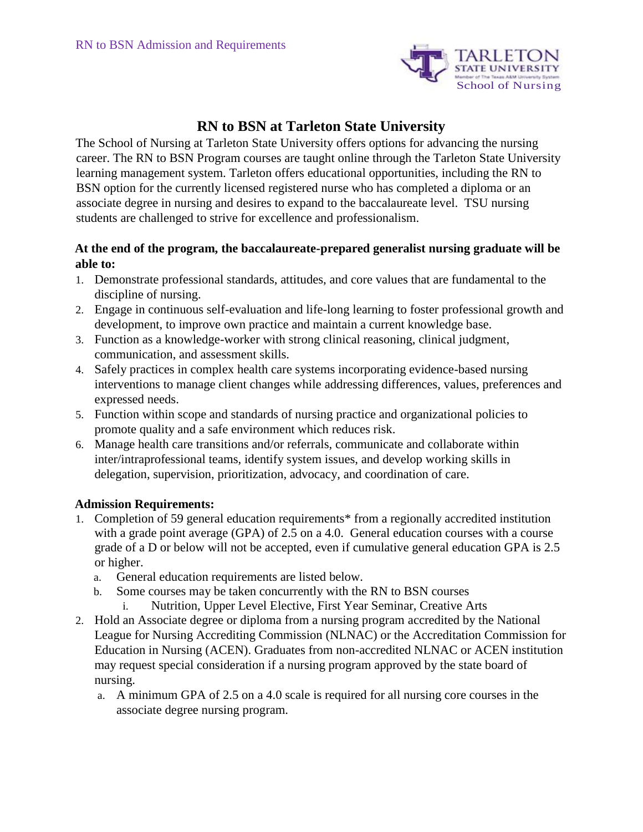

# **RN to BSN at Tarleton State University**

The School of Nursing at Tarleton State University offers options for advancing the nursing career. The RN to BSN Program courses are taught online through the Tarleton State University learning management system. Tarleton offers educational opportunities, including the RN to BSN option for the currently licensed registered nurse who has completed a diploma or an associate degree in nursing and desires to expand to the baccalaureate level. TSU nursing students are challenged to strive for excellence and professionalism.

### **At the end of the program, the baccalaureate-prepared generalist nursing graduate will be able to:**

- 1. Demonstrate professional standards, attitudes, and core values that are fundamental to the discipline of nursing.
- 2. Engage in continuous self-evaluation and life-long learning to foster professional growth and development, to improve own practice and maintain a current knowledge base.
- 3. Function as a knowledge-worker with strong clinical reasoning, clinical judgment, communication, and assessment skills.
- 4. Safely practices in complex health care systems incorporating evidence-based nursing interventions to manage client changes while addressing differences, values, preferences and expressed needs.
- 5. Function within scope and standards of nursing practice and organizational policies to promote quality and a safe environment which reduces risk.
- 6. Manage health care transitions and/or referrals, communicate and collaborate within inter/intraprofessional teams, identify system issues, and develop working skills in delegation, supervision, prioritization, advocacy, and coordination of care.

#### **Admission Requirements:**

- 1. Completion of 59 general education requirements\* from a regionally accredited institution with a grade point average (GPA) of 2.5 on a 4.0. General education courses with a course grade of a D or below will not be accepted, even if cumulative general education GPA is 2.5 or higher.
	- a. General education requirements are listed below.
	- b. Some courses may be taken concurrently with the RN to BSN courses
		- i. Nutrition, Upper Level Elective, First Year Seminar, Creative Arts
- 2. Hold an Associate degree or diploma from a nursing program accredited by the National League for Nursing Accrediting Commission (NLNAC) or the Accreditation Commission for Education in Nursing (ACEN). Graduates from non-accredited NLNAC or ACEN institution may request special consideration if a nursing program approved by the state board of nursing.
	- a. A minimum GPA of 2.5 on a 4.0 scale is required for all nursing core courses in the associate degree nursing program.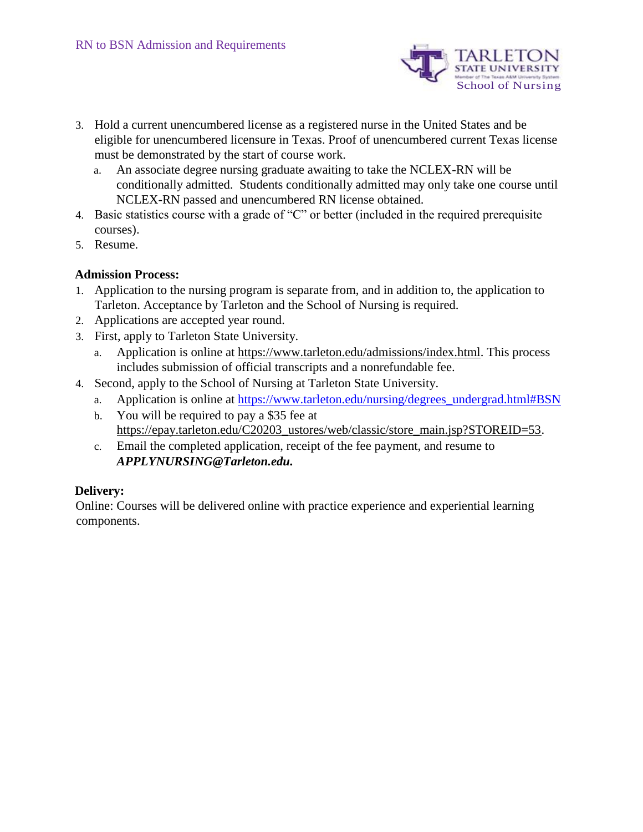

- 3. Hold a current unencumbered license as a registered nurse in the United States and be eligible for unencumbered licensure in Texas. Proof of unencumbered current Texas license must be demonstrated by the start of course work.
	- a. An associate degree nursing graduate awaiting to take the NCLEX-RN will be conditionally admitted. Students conditionally admitted may only take one course until NCLEX-RN passed and unencumbered RN license obtained.
- 4. Basic statistics course with a grade of "C" or better (included in the required prerequisite courses).
- 5. Resume.

#### **Admission Process:**

- 1. Application to the nursing program is separate from, and in addition to, the application to Tarleton. Acceptance by Tarleton and the School of Nursing is required.
- 2. Applications are accepted year round.
- 3. First, apply to Tarleton State University.
	- a. Application is online [at https://www.tarleton.edu/admissions/index.html.](https://www.tarleton.edu/admissions/index.html) This process includes submission of official transcripts and a nonrefundable fee.
- 4. Second, apply to the School of Nursing at Tarleton State University.
	- a. Application is online a[t](https://www.tarleton.edu/nursing/degrees_undergrad.html#BSN) [https://www.tarleton.edu/nursing/degrees\\_undergrad.html#BSN](https://www.tarleton.edu/nursing/degrees_undergrad.html#BSN)
	- b. You will be required to pay a \$35 fee at [https://epay.tarleton.edu/C20203\\_ustores/web/classic/store\\_main.jsp?STOREID=53.](https://epay.tarleton.edu/C20203_ustores/web/classic/store_main.jsp?STOREID=53)
	- c. Email the completed application, receipt of the fee payment, and resume to *APPLYNURSING@Tarleton.edu.*

## **Delivery:**

Online: Courses will be delivered online with practice experience and experiential learning components.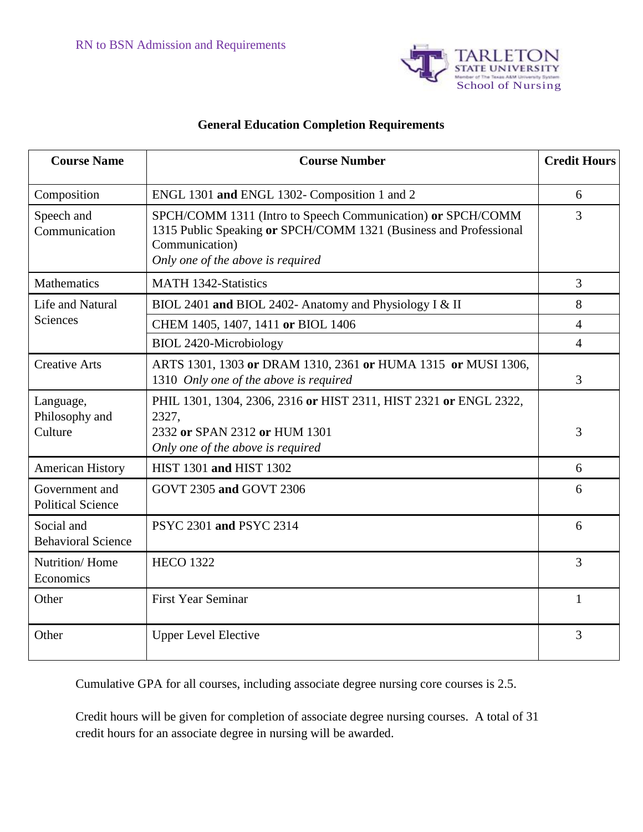

# **General Education Completion Requirements**

| <b>Course Name</b>                         | <b>Course Number</b>                                                                                                                                                                    | <b>Credit Hours</b> |
|--------------------------------------------|-----------------------------------------------------------------------------------------------------------------------------------------------------------------------------------------|---------------------|
| Composition                                | ENGL 1301 and ENGL 1302- Composition 1 and 2                                                                                                                                            | 6                   |
| Speech and<br>Communication                | SPCH/COMM 1311 (Intro to Speech Communication) or SPCH/COMM<br>1315 Public Speaking or SPCH/COMM 1321 (Business and Professional<br>Communication)<br>Only one of the above is required | $\overline{3}$      |
| <b>Mathematics</b>                         | <b>MATH 1342-Statistics</b>                                                                                                                                                             | 3                   |
| Life and Natural<br>Sciences               | BIOL 2401 and BIOL 2402- Anatomy and Physiology I & II                                                                                                                                  | 8                   |
|                                            | CHEM 1405, 1407, 1411 or BIOL 1406                                                                                                                                                      | $\overline{4}$      |
|                                            | <b>BIOL 2420-Microbiology</b>                                                                                                                                                           | $\overline{4}$      |
| <b>Creative Arts</b>                       | ARTS 1301, 1303 or DRAM 1310, 2361 or HUMA 1315 or MUSI 1306,<br>1310 Only one of the above is required                                                                                 | 3                   |
| Language,<br>Philosophy and<br>Culture     | PHIL 1301, 1304, 2306, 2316 or HIST 2311, HIST 2321 or ENGL 2322,<br>2327,<br>2332 or SPAN 2312 or HUM 1301<br>Only one of the above is required                                        | 3                   |
| <b>American History</b>                    | HIST 1301 and HIST 1302                                                                                                                                                                 | 6                   |
| Government and<br><b>Political Science</b> | GOVT 2305 and GOVT 2306                                                                                                                                                                 | 6                   |
| Social and<br><b>Behavioral Science</b>    | PSYC 2301 and PSYC 2314                                                                                                                                                                 | 6                   |
| Nutrition/Home<br>Economics                | <b>HECO 1322</b>                                                                                                                                                                        | 3                   |
| Other                                      | <b>First Year Seminar</b>                                                                                                                                                               | $\mathbf{1}$        |
| Other                                      | <b>Upper Level Elective</b>                                                                                                                                                             | 3                   |

Cumulative GPA for all courses, including associate degree nursing core courses is 2.5.

Credit hours will be given for completion of associate degree nursing courses. A total of 31 credit hours for an associate degree in nursing will be awarded.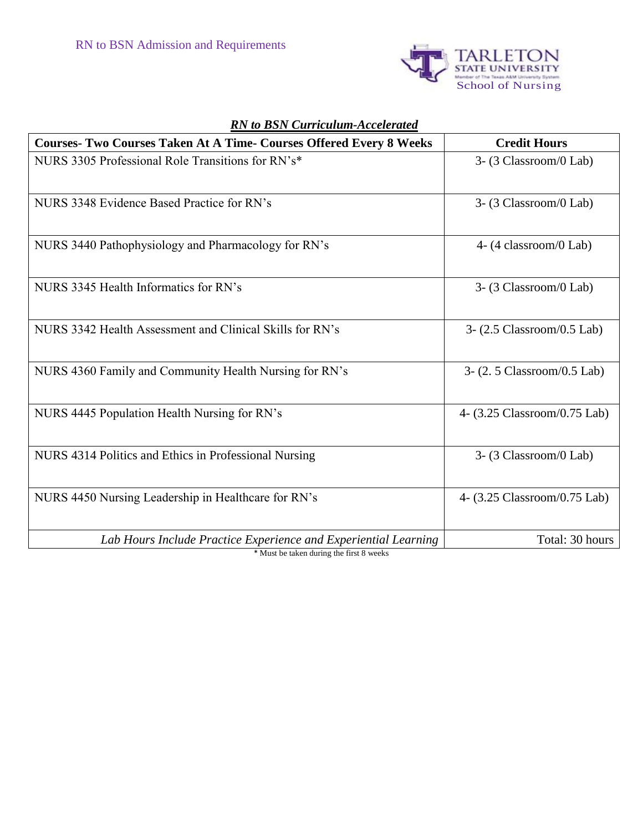

| <b>Courses- Two Courses Taken At A Time- Courses Offered Every 8 Weeks</b> | <b>Credit Hours</b>          |
|----------------------------------------------------------------------------|------------------------------|
| NURS 3305 Professional Role Transitions for RN's*                          | 3- (3 Classroom/0 Lab)       |
| NURS 3348 Evidence Based Practice for RN's                                 | 3- (3 Classroom/0 Lab)       |
| NURS 3440 Pathophysiology and Pharmacology for RN's                        | 4-(4 classroom/0 Lab)        |
| NURS 3345 Health Informatics for RN's                                      | 3- (3 Classroom/0 Lab)       |
| NURS 3342 Health Assessment and Clinical Skills for RN's                   | 3- (2.5 Classroom/0.5 Lab)   |
| NURS 4360 Family and Community Health Nursing for RN's                     | 3-(2.5 Classroom/0.5 Lab)    |
| NURS 4445 Population Health Nursing for RN's                               | 4- (3.25 Classroom/0.75 Lab) |
| NURS 4314 Politics and Ethics in Professional Nursing                      | 3-(3 Classroom/0 Lab)        |
| NURS 4450 Nursing Leadership in Healthcare for RN's                        | 4- (3.25 Classroom/0.75 Lab) |
| Lab Hours Include Practice Experience and Experiential Learning            | Total: 30 hours              |

# *RN to BSN Curriculum-Accelerated*

\* Must be taken during the first 8 weeks